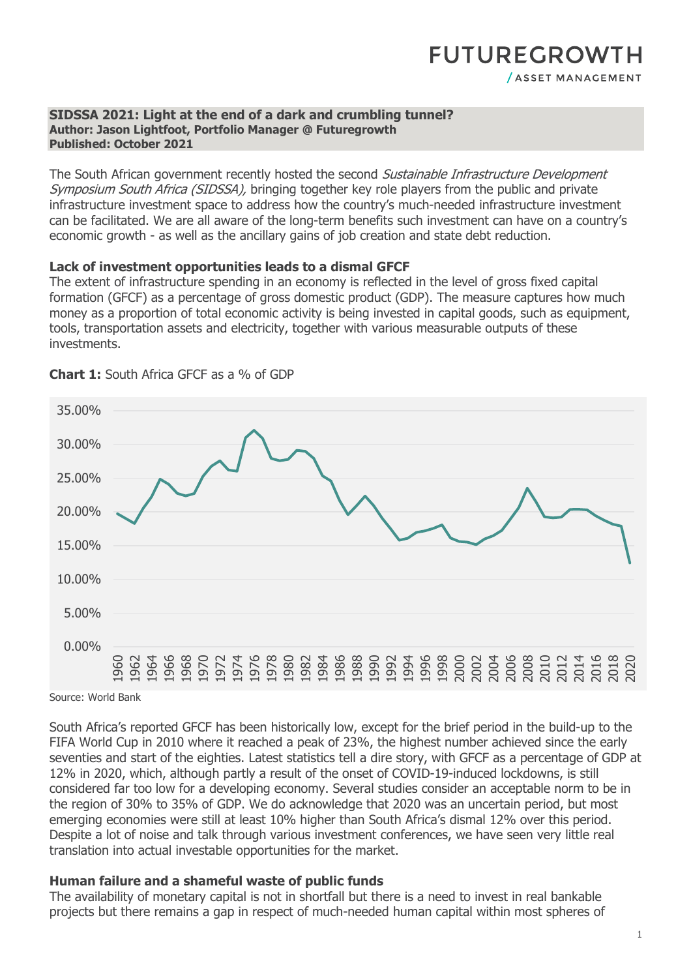### **FUTUREGROWTH** / ASSET MANAGEMENT

#### **SIDSSA 2021: Light at the end of a dark and crumbling tunnel? Author: Jason Lightfoot, Portfolio Manager @ Futuregrowth Published: October 2021**

The South African government recently hosted the second Sustainable Infrastructure Development Symposium South Africa (SIDSSA), bringing together key role players from the public and private infrastructure investment space to address how the country's much-needed infrastructure investment can be facilitated. We are all aware of the long-term benefits such investment can have on a country's economic growth - as well as the ancillary gains of job creation and state debt reduction.

### **Lack of investment opportunities leads to a dismal GFCF**

The extent of infrastructure spending in an economy is reflected in the level of gross fixed capital formation (GFCF) as a percentage of gross domestic product (GDP). The measure captures how much money as a proportion of total economic activity is being invested in capital goods, such as equipment, tools, transportation assets and electricity, together with various measurable outputs of these investments.



**Chart 1:** South Africa GFCF as a % of GDP

Source: World Bank

South Africa's reported GFCF has been historically low, except for the brief period in the build-up to the FIFA World Cup in 2010 where it reached a peak of 23%, the highest number achieved since the early seventies and start of the eighties. Latest statistics tell a dire story, with GFCF as a percentage of GDP at 12% in 2020, which, although partly a result of the onset of COVID-19-induced lockdowns, is still considered far too low for a developing economy. Several studies consider an acceptable norm to be in the region of 30% to 35% of GDP. We do acknowledge that 2020 was an uncertain period, but most emerging economies were still at least 10% higher than South Africa's dismal 12% over this period. Despite a lot of noise and talk through various investment conferences, we have seen very little real translation into actual investable opportunities for the market.

### **Human failure and a shameful waste of public funds**

The availability of monetary capital is not in shortfall but there is a need to invest in real bankable projects but there remains a gap in respect of much-needed human capital within most spheres of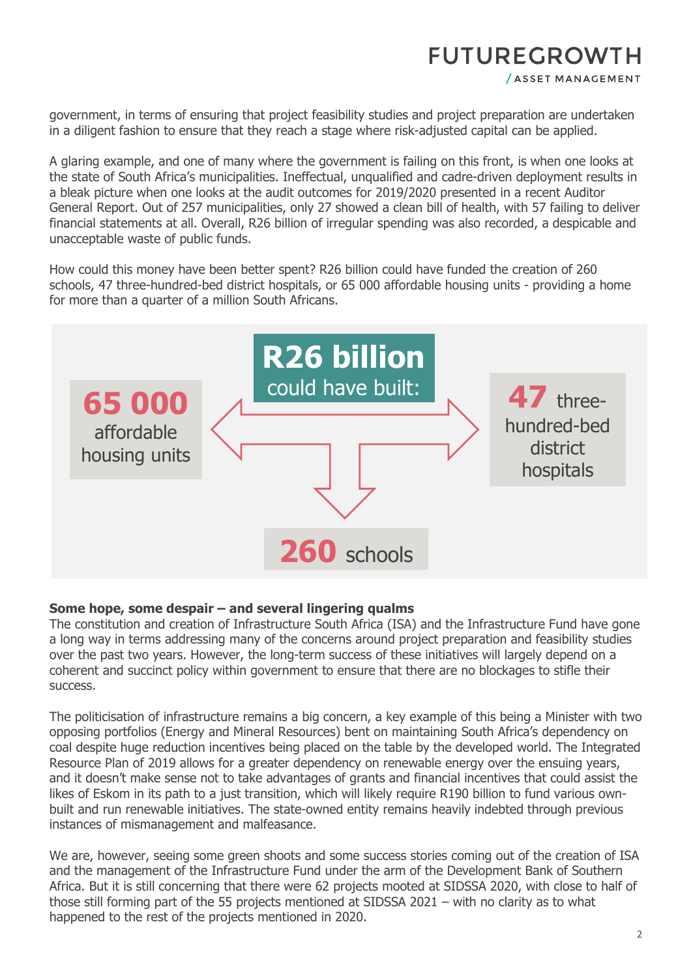# **FUTUREGROWTH**

/ ASSET MANAGEMENT

government, in terms of ensuring that project feasibility studies and project preparation are undertaken in a diligent fashion to ensure that they reach a stage where risk-adjusted capital can be applied.

A glaring example, and one of many where the government is failing on this front, is when one looks at the state of South Africa's municipalities. Ineffectual, unqualified and cadre-driven deployment results in a bleak picture when one looks at the audit outcomes for 2019/2020 presented in a recent Auditor General Report. Out of 257 municipalities, only 27 showed a clean bill of health, with 57 failing to deliver financial statements at all. Overall, R26 billion of irregular spending was also recorded, a despicable and unacceptable waste of public funds.

How could this money have been better spent? R26 billion could have funded the creation of 260 schools, 47 three-hundred-bed district hospitals, or 65 000 affordable housing units - providing a home for more than a quarter of a million South Africans.



### **Some hope, some despair – and several lingering qualms**

The constitution and creation of Infrastructure South Africa (ISA) and the Infrastructure Fund have gone a long way in terms addressing many of the concerns around project preparation and feasibility studies over the past two years. However, the long-term success of these initiatives will largely depend on a coherent and succinct policy within government to ensure that there are no blockages to stifle their success.

The politicisation of infrastructure remains a big concern, a key example of this being a Minister with two opposing portfolios (Energy and Mineral Resources) bent on maintaining South Africa's dependency on coal despite huge reduction incentives being placed on the table by the developed world. The Integrated Resource Plan of 2019 allows for a greater dependency on renewable energy over the ensuing years, and it doesn't make sense not to take advantages of grants and financial incentives that could assist the likes of Eskom in its path to a just transition, which will likely require R190 billion to fund various ownbuilt and run renewable initiatives. The state-owned entity remains heavily indebted through previous instances of mismanagement and malfeasance.

We are, however, seeing some green shoots and some success stories coming out of the creation of ISA and the management of the Infrastructure Fund under the arm of the Development Bank of Southern Africa. But it is still concerning that there were 62 projects mooted at SIDSSA 2020, with close to half of those still forming part of the 55 projects mentioned at SIDSSA 2021 – with no clarity as to what happened to the rest of the projects mentioned in 2020.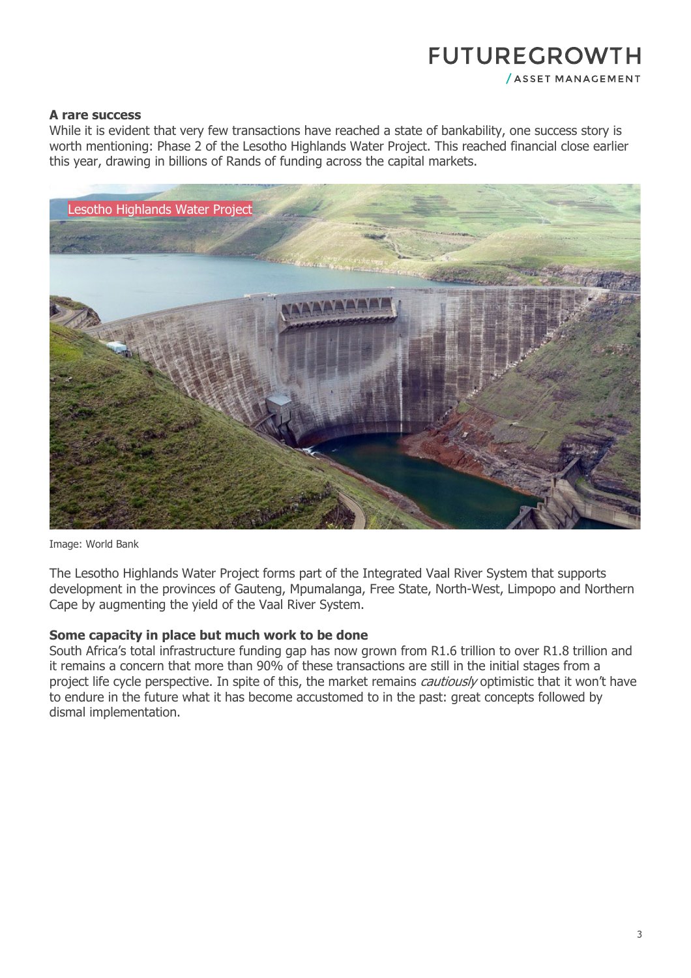# **FUTUREGROWTH**

/ ASSET MANAGEMENT

### **A rare success**

While it is evident that very few transactions have reached a state of bankability, one success story is worth mentioning: Phase 2 of the Lesotho Highlands Water Project. This reached financial close earlier this year, drawing in billions of Rands of funding across the capital markets.



Image: World Bank

The Lesotho Highlands Water Project forms part of the Integrated Vaal River System that supports development in the provinces of Gauteng, Mpumalanga, Free State, North-West, Limpopo and Northern Cape by augmenting the yield of the Vaal River System.

### **Some capacity in place but much work to be done**

South Africa's total infrastructure funding gap has now grown from R1.6 trillion to over R1.8 trillion and it remains a concern that more than 90% of these transactions are still in the initial stages from a project life cycle perspective. In spite of this, the market remains *cautiously* optimistic that it won't have to endure in the future what it has become accustomed to in the past: great concepts followed by dismal implementation.